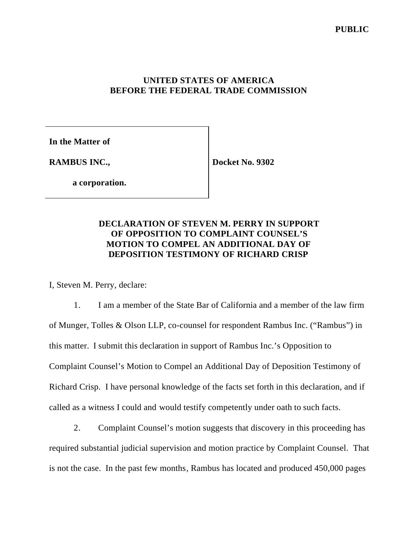## **UNITED STATES OF AMERICA BEFORE THE FEDERAL TRADE COMMISSION**

**In the Matter of**

**RAMBUS INC.,**

**Docket No. 9302**

**a corporation.**

## **DECLARATION OF STEVEN M. PERRY IN SUPPORT OF OPPOSITION TO COMPLAINT COUNSEL'S MOTION TO COMPEL AN ADDITIONAL DAY OF DEPOSITION TESTIMONY OF RICHARD CRISP**

I, Steven M. Perry, declare:

1. I am a member of the State Bar of California and a member of the law firm of Munger, Tolles & Olson LLP, co-counsel for respondent Rambus Inc. ("Rambus") in this matter. I submit this declaration in support of Rambus Inc.'s Opposition to Complaint Counsel's Motion to Compel an Additional Day of Deposition Testimony of Richard Crisp. I have personal knowledge of the facts set forth in this declaration, and if called as a witness I could and would testify competently under oath to such facts.

2. Complaint Counsel's motion suggests that discovery in this proceeding has required substantial judicial supervision and motion practice by Complaint Counsel. That is not the case. In the past few months, Rambus has located and produced 450,000 pages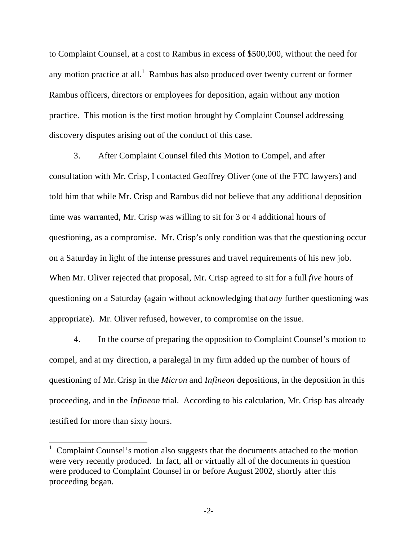to Complaint Counsel, at a cost to Rambus in excess of \$500,000, without the need for any motion practice at all.<sup>1</sup> Rambus has also produced over twenty current or former Rambus officers, directors or employees for deposition, again without any motion practice. This motion is the first motion brought by Complaint Counsel addressing discovery disputes arising out of the conduct of this case.

3. After Complaint Counsel filed this Motion to Compel, and after consultation with Mr. Crisp, I contacted Geoffrey Oliver (one of the FTC lawyers) and told him that while Mr. Crisp and Rambus did not believe that any additional deposition time was warranted, Mr. Crisp was willing to sit for 3 or 4 additional hours of questioning, as a compromise. Mr. Crisp's only condition was that the questioning occur on a Saturday in light of the intense pressures and travel requirements of his new job. When Mr. Oliver rejected that proposal, Mr. Crisp agreed to sit for a full *five* hours of questioning on a Saturday (again without acknowledging that *any* further questioning was appropriate). Mr. Oliver refused, however, to compromise on the issue.

4. In the course of preparing the opposition to Complaint Counsel's motion to compel, and at my direction, a paralegal in my firm added up the number of hours of questioning of Mr.Crisp in the *Micron* and *Infineon* depositions, in the deposition in this proceeding, and in the *Infineon* trial. According to his calculation, Mr. Crisp has already testified for more than sixty hours.

 $\overline{a}$ 

 $1$  Complaint Counsel's motion also suggests that the documents attached to the motion were very recently produced. In fact, all or virtually all of the documents in question were produced to Complaint Counsel in or before August 2002, shortly after this proceeding began.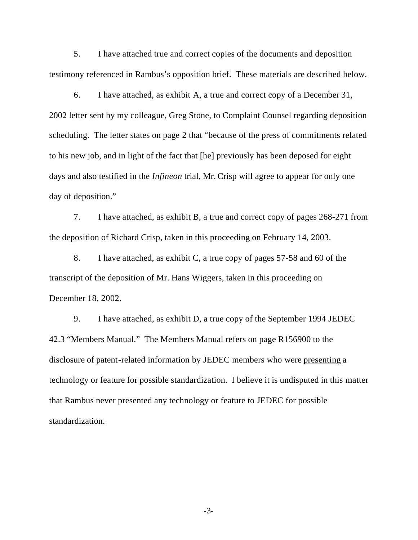5. I have attached true and correct copies of the documents and deposition testimony referenced in Rambus's opposition brief. These materials are described below.

6. I have attached, as exhibit A, a true and correct copy of a December 31, 2002 letter sent by my colleague, Greg Stone, to Complaint Counsel regarding deposition scheduling. The letter states on page 2 that "because of the press of commitments related to his new job, and in light of the fact that [he] previously has been deposed for eight days and also testified in the *Infineon* trial, Mr. Crisp will agree to appear for only one day of deposition."

7. I have attached, as exhibit B, a true and correct copy of pages 268-271 from the deposition of Richard Crisp, taken in this proceeding on February 14, 2003.

8. I have attached, as exhibit C, a true copy of pages 57-58 and 60 of the transcript of the deposition of Mr. Hans Wiggers, taken in this proceeding on December 18, 2002.

9. I have attached, as exhibit D, a true copy of the September 1994 JEDEC 42.3 "Members Manual." The Members Manual refers on page R156900 to the disclosure of patent-related information by JEDEC members who were presenting a technology or feature for possible standardization. I believe it is undisputed in this matter that Rambus never presented any technology or feature to JEDEC for possible standardization.

-3-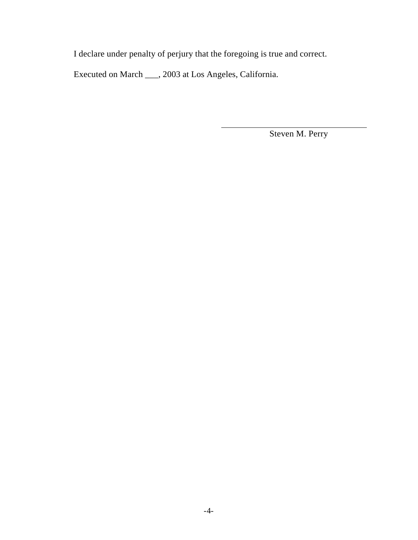I declare under penalty of perjury that the foregoing is true and correct.

 $\overline{\phantom{a}}$ 

Executed on March \_\_\_, 2003 at Los Angeles, California.

Steven M. Perry